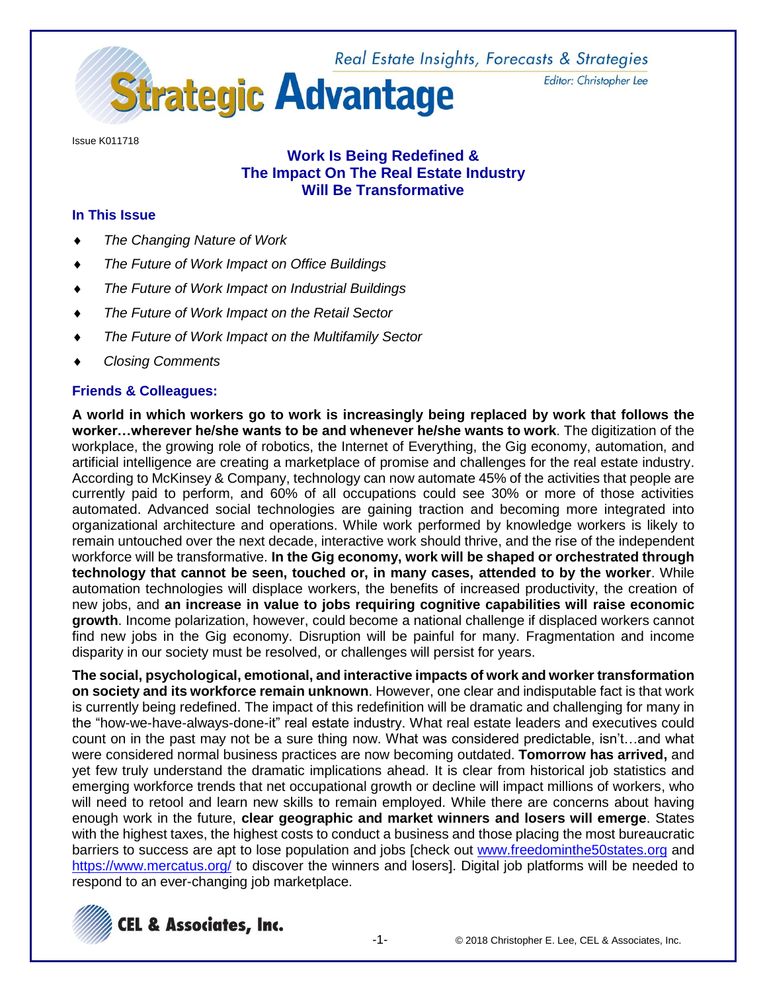Real Estate Insights, Forecasts & Strategies



Editor: Christopher Lee

Issue K011718

# **Work Is Being Redefined & The Impact On The Real Estate Industry Will Be Transformative**

## **In This Issue**

- *The Changing Nature of Work*
- *The Future of Work Impact on Office Buildings*
- *The Future of Work Impact on Industrial Buildings*
- *The Future of Work Impact on the Retail Sector*
- *The Future of Work Impact on the Multifamily Sector*
- *Closing Comments*

# **Friends & Colleagues:**

**A world in which workers go to work is increasingly being replaced by work that follows the worker…wherever he/she wants to be and whenever he/she wants to work**. The digitization of the workplace, the growing role of robotics, the Internet of Everything, the Gig economy, automation, and artificial intelligence are creating a marketplace of promise and challenges for the real estate industry. According to McKinsey & Company, technology can now automate 45% of the activities that people are currently paid to perform, and 60% of all occupations could see 30% or more of those activities automated. Advanced social technologies are gaining traction and becoming more integrated into organizational architecture and operations. While work performed by knowledge workers is likely to remain untouched over the next decade, interactive work should thrive, and the rise of the independent workforce will be transformative. **In the Gig economy, work will be shaped or orchestrated through technology that cannot be seen, touched or, in many cases, attended to by the worker**. While automation technologies will displace workers, the benefits of increased productivity, the creation of new jobs, and **an increase in value to jobs requiring cognitive capabilities will raise economic growth**. Income polarization, however, could become a national challenge if displaced workers cannot find new jobs in the Gig economy. Disruption will be painful for many. Fragmentation and income disparity in our society must be resolved, or challenges will persist for years.

**The social, psychological, emotional, and interactive impacts of work and worker transformation on society and its workforce remain unknown**. However, one clear and indisputable fact is that work is currently being redefined. The impact of this redefinition will be dramatic and challenging for many in the "how-we-have-always-done-it" real estate industry. What real estate leaders and executives could count on in the past may not be a sure thing now. What was considered predictable, isn't…and what were considered normal business practices are now becoming outdated. **Tomorrow has arrived,** and yet few truly understand the dramatic implications ahead. It is clear from historical job statistics and emerging workforce trends that net occupational growth or decline will impact millions of workers, who will need to retool and learn new skills to remain employed. While there are concerns about having enough work in the future, **clear geographic and market winners and losers will emerge**. States with the highest taxes, the highest costs to conduct a business and those placing the most bureaucratic barriers to success are apt to lose population and jobs [check out [www.freedominthe50states.org](http://www.freedominthe50states.org/) and <https://www.mercatus.org/> to discover the winners and losers]. Digital job platforms will be needed to respond to an ever-changing job marketplace.

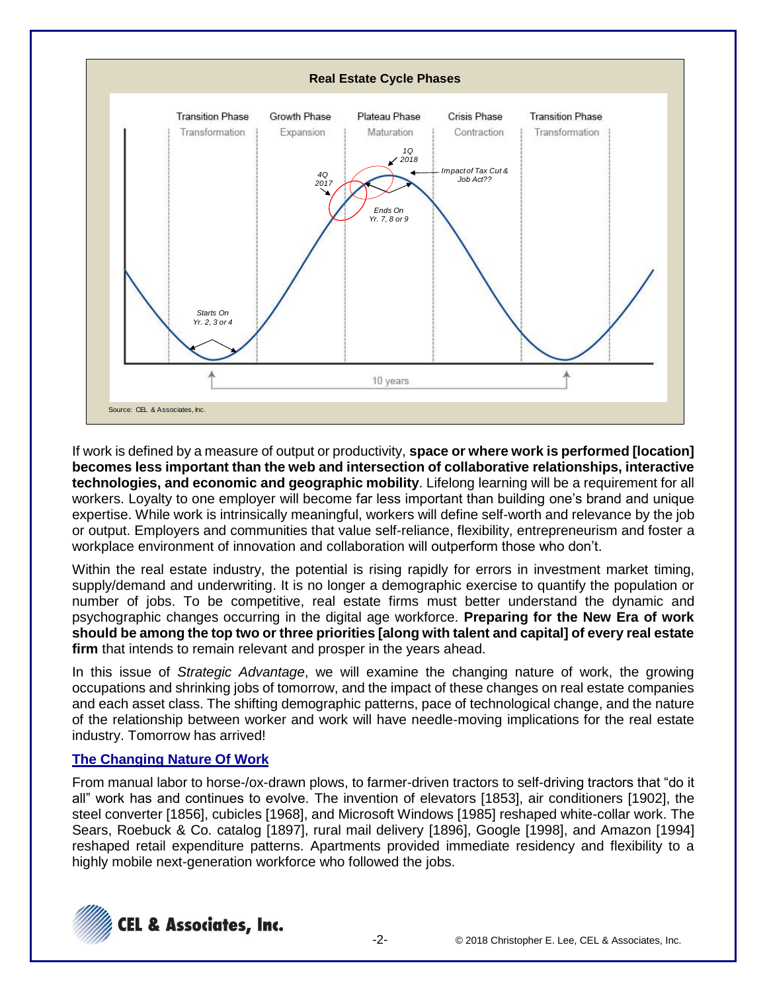

If work is defined by a measure of output or productivity, **space or where work is performed [location] becomes less important than the web and intersection of collaborative relationships, interactive technologies, and economic and geographic mobility**. Lifelong learning will be a requirement for all workers. Loyalty to one employer will become far less important than building one's brand and unique expertise. While work is intrinsically meaningful, workers will define self-worth and relevance by the job or output. Employers and communities that value self-reliance, flexibility, entrepreneurism and foster a workplace environment of innovation and collaboration will outperform those who don't.

Within the real estate industry, the potential is rising rapidly for errors in investment market timing, supply/demand and underwriting. It is no longer a demographic exercise to quantify the population or number of jobs. To be competitive, real estate firms must better understand the dynamic and psychographic changes occurring in the digital age workforce. **Preparing for the New Era of work should be among the top two or three priorities [along with talent and capital] of every real estate firm** that intends to remain relevant and prosper in the years ahead.

In this issue of *Strategic Advantage*, we will examine the changing nature of work, the growing occupations and shrinking jobs of tomorrow, and the impact of these changes on real estate companies and each asset class. The shifting demographic patterns, pace of technological change, and the nature of the relationship between worker and work will have needle-moving implications for the real estate industry. Tomorrow has arrived!

## **The Changing Nature Of Work**

From manual labor to horse-/ox-drawn plows, to farmer-driven tractors to self-driving tractors that "do it all" work has and continues to evolve. The invention of elevators [1853], air conditioners [1902], the steel converter [1856], cubicles [1968], and Microsoft Windows [1985] reshaped white-collar work. The Sears, Roebuck & Co. catalog [1897], rural mail delivery [1896], Google [1998], and Amazon [1994] reshaped retail expenditure patterns. Apartments provided immediate residency and flexibility to a highly mobile next-generation workforce who followed the jobs.

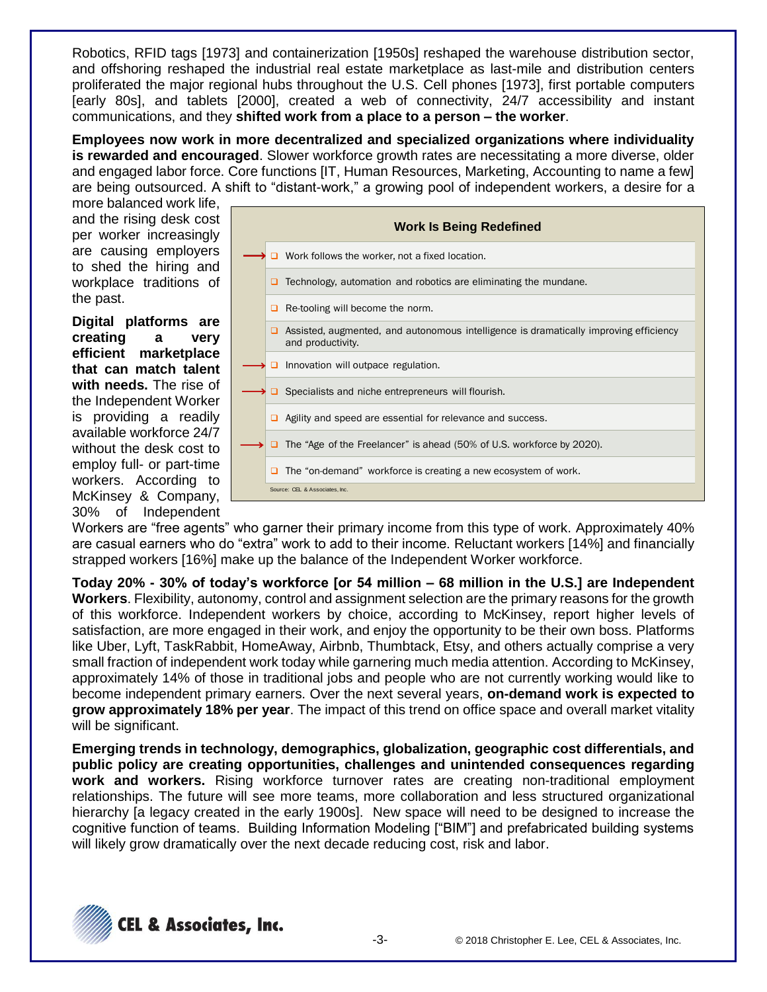Robotics, RFID tags [1973] and containerization [1950s] reshaped the warehouse distribution sector, and offshoring reshaped the industrial real estate marketplace as last-mile and distribution centers proliferated the major regional hubs throughout the U.S. Cell phones [1973], first portable computers [early 80s], and tablets [2000], created a web of connectivity, 24/7 accessibility and instant communications, and they **shifted work from a place to a person – the worker**.

**Employees now work in more decentralized and specialized organizations where individuality is rewarded and encouraged**. Slower workforce growth rates are necessitating a more diverse, older and engaged labor force. Core functions [IT, Human Resources, Marketing, Accounting to name a few] are being outsourced. A shift to "distant-work," a growing pool of independent workers, a desire for a

more balanced work life, and the rising desk cost per worker increasingly are causing employers to shed the hiring and workplace traditions of the past.

**Digital platforms are creating a very efficient marketplace that can match talent with needs.** The rise of the Independent Worker is providing a readily available workforce 24/7 without the desk cost to employ full- or part-time workers. According to McKinsey & Company, 30% of Independent



Workers are "free agents" who garner their primary income from this type of work. Approximately 40% are casual earners who do "extra" work to add to their income. Reluctant workers [14%] and financially strapped workers [16%] make up the balance of the Independent Worker workforce.

**Today 20% - 30% of today's workforce [or 54 million – 68 million in the U.S.] are Independent Workers**. Flexibility, autonomy, control and assignment selection are the primary reasons for the growth of this workforce. Independent workers by choice, according to McKinsey, report higher levels of satisfaction, are more engaged in their work, and enjoy the opportunity to be their own boss. Platforms like Uber, Lyft, TaskRabbit, HomeAway, Airbnb, Thumbtack, Etsy, and others actually comprise a very small fraction of independent work today while garnering much media attention. According to McKinsey, approximately 14% of those in traditional jobs and people who are not currently working would like to become independent primary earners. Over the next several years, **on-demand work is expected to grow approximately 18% per year**. The impact of this trend on office space and overall market vitality will be significant.

**Emerging trends in technology, demographics, globalization, geographic cost differentials, and public policy are creating opportunities, challenges and unintended consequences regarding work and workers.** Rising workforce turnover rates are creating non-traditional employment relationships. The future will see more teams, more collaboration and less structured organizational hierarchy [a legacy created in the early 1900s]. New space will need to be designed to increase the cognitive function of teams. Building Information Modeling ["BIM"] and prefabricated building systems will likely grow dramatically over the next decade reducing cost, risk and labor.

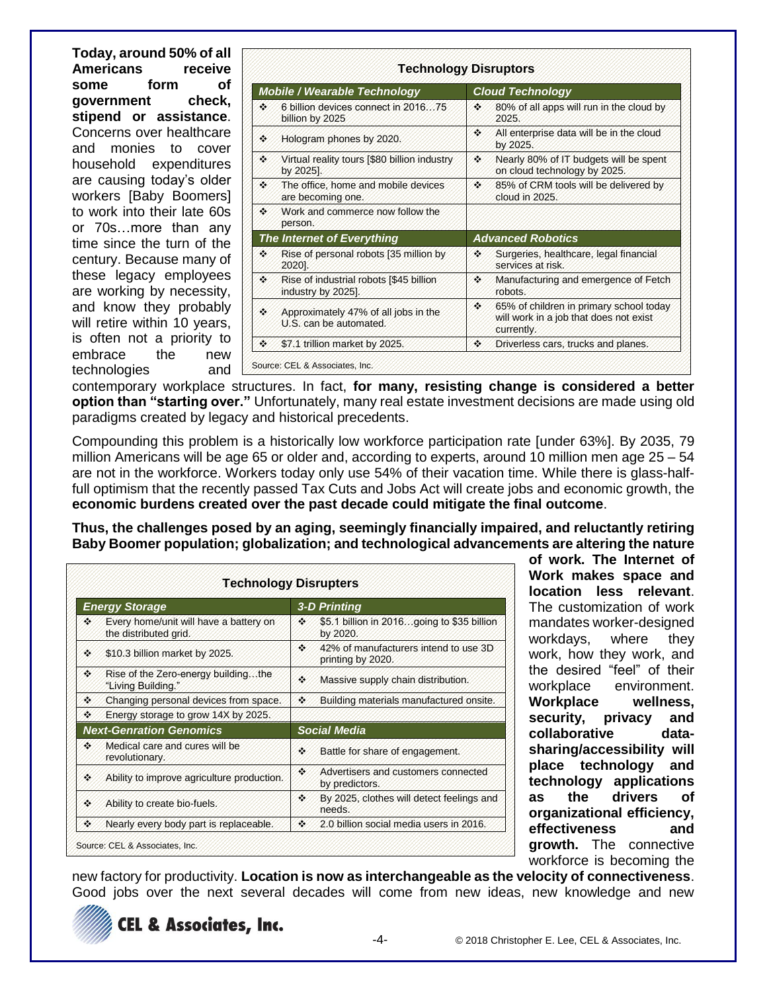**Today, around 50% of all Americans receive some form of government check, stipend or assistance**. Concerns over healthcare and monies to cover household expenditures are causing today's older workers [Baby Boomers] to work into their late 60s or 70s…more than any time since the turn of the century. Because many of these legacy employees are working by necessity, and know they probably will retire within 10 years, is often not a priority to embrace the new technologies and

| <b>Mobile / Wearable Technology</b> |                                                                | <b>Cloud Technology</b> |                                                                                                 |  |
|-------------------------------------|----------------------------------------------------------------|-------------------------|-------------------------------------------------------------------------------------------------|--|
| 98                                  | 6 billion devices connect in 2016. 75<br>billion by 2025       | 26                      | 80% of all apps will run in the cloud by<br>2025.                                               |  |
| æ                                   | Hologram phones by 2020.                                       | 98                      | All enterprise data will be in the cloud<br>by 2025.                                            |  |
| 96                                  | Virtual reality tours [\$80 billion industry<br>by 2025].      | 98                      | Nearly 80% of IT budgets will be spent<br>on cloud technology by 2025.                          |  |
| 98                                  | The office, home and mobile devices<br>are becoming one.       | 96                      | 85% of CRM tools will be delivered by<br>cloud in 2025.                                         |  |
| 98                                  | Work and commerce now follow the<br>person.                    |                         |                                                                                                 |  |
|                                     | <b>The Internet of Everything</b>                              |                         | <b>Advanced Robotics</b>                                                                        |  |
| H.                                  | Rise of personal robots [35 million by<br>2020].               | ×.                      | Surgeries, healthcare, legal financial<br>services at risk.                                     |  |
| H.                                  | Rise of industrial robots [\$45 billion]<br>industry by 2025]. | ×                       | Manufacturing and emergence of Fetch<br>robots                                                  |  |
| ×.                                  | Approximately 47% of all jobs in the<br>U.S. can be automated. | H.                      | 65% of children in primary school today<br>will work in a job that does not exist<br>currently. |  |
| 28                                  | \$7.1 trillion market by 2025.                                 | 26                      | Driverless cars, trucks and planes.                                                             |  |

contemporary workplace structures. In fact, **for many, resisting change is considered a better option than "starting over."** Unfortunately, many real estate investment decisions are made using old paradigms created by legacy and historical precedents.

Compounding this problem is a historically low workforce participation rate [under 63%]. By 2035, 79 million Americans will be age 65 or older and, according to experts, around 10 million men age 25 – 54 are not in the workforce. Workers today only use 54% of their vacation time. While there is glass-halffull optimism that the recently passed Tax Cuts and Jobs Act will create jobs and economic growth, the **economic burdens created over the past decade could mitigate the final outcome**.

**Thus, the challenges posed by an aging, seemingly financially impaired, and reluctantly retiring Baby Boomer population; globalization; and technological advancements are altering the nature** 

| <b>Energy Storage</b> |                                                                 | <b>3-D Printing</b> |                                                            |  |  |
|-----------------------|-----------------------------------------------------------------|---------------------|------------------------------------------------------------|--|--|
| X.                    | Every home/unit will have a battery on<br>the distributed grid. | 26                  | \$5.1 billion in 2016going to \$35 billion<br>by 2020.     |  |  |
| gy.                   | \$10.3 billion market by 2025.                                  | 26                  | 42% of manufacturers intend to use 3D<br>printing by 2020. |  |  |
| ×.                    | Rise of the Zero-energy buildingthe<br>"Living Building."       | 99                  | Massive supply chain distribution.                         |  |  |
| 46                    | Changing personal devices from space.                           | U,                  | Building materials manufactured onsite.                    |  |  |
| ×.                    | Energy storage to grow 14X by 2025.                             |                     |                                                            |  |  |
|                       | <b>Next-Genration Genomics</b>                                  |                     | <b>Social Media</b>                                        |  |  |
| a.                    | Medical care and cures will be<br>revolutionary.                | ×.                  | Battle for share of engagement.                            |  |  |
| Ŷ.                    | Ability to improve agriculture production.                      | 26                  | Advertisers and customers connected<br>by predictors.      |  |  |
| Ŷ.                    | Ability to create bio-fuels.                                    | ×,                  | By 2025, clothes will detect feelings and<br>needs.        |  |  |
|                       | Nearly every body part is replaceable.                          | 46                  | 2.0 billion social media users in 2016.                    |  |  |

**of work. The Internet of Work makes space and location less relevant**. The customization of work mandates worker-designed workdays, where they work, how they work, and the desired "feel" of their workplace environment. **Workplace wellness, security, privacy and collaborative datasharing/accessibility will place technology and technology applications as the drivers of organizational efficiency, effectiveness and growth.** The connective workforce is becoming the

new factory for productivity. **Location is now as interchangeable as the velocity of connectiveness**. Good iobs over the next several decades will come from new ideas, new knowledge and new

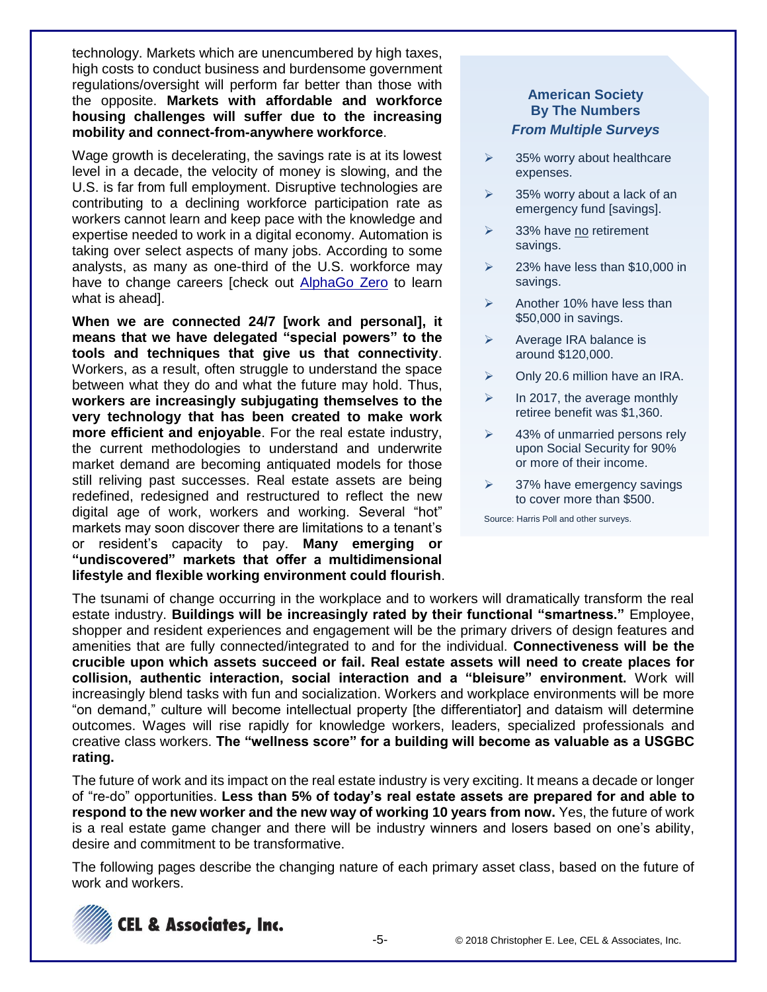technology. Markets which are unencumbered by high taxes, high costs to conduct business and burdensome government regulations/oversight will perform far better than those with the opposite. **Markets with affordable and workforce housing challenges will suffer due to the increasing mobility and connect-from-anywhere workforce**.

Wage growth is decelerating, the savings rate is at its lowest level in a decade, the velocity of money is slowing, and the U.S. is far from full employment. Disruptive technologies are contributing to a declining workforce participation rate as workers cannot learn and keep pace with the knowledge and expertise needed to work in a digital economy. Automation is taking over select aspects of many jobs. According to some analysts, as many as one-third of the U.S. workforce may have to change careers [check out [AlphaGo Zero](https://deepmind.com/blog/alphago-zero-learning-scratch/) to learn what is ahead].

**When we are connected 24/7 [work and personal], it means that we have delegated "special powers" to the tools and techniques that give us that connectivity**. Workers, as a result, often struggle to understand the space between what they do and what the future may hold. Thus, **workers are increasingly subjugating themselves to the very technology that has been created to make work more efficient and enjoyable**. For the real estate industry, the current methodologies to understand and underwrite market demand are becoming antiquated models for those still reliving past successes. Real estate assets are being redefined, redesigned and restructured to reflect the new digital age of work, workers and working. Several "hot" markets may soon discover there are limitations to a tenant's or resident's capacity to pay. **Many emerging or "undiscovered" markets that offer a multidimensional lifestyle and flexible working environment could flourish**.

## **American Society By The Numbers** *From Multiple Surveys*

- $\geq$  35% worry about healthcare expenses.
- $\geq$  35% worry about a lack of an emergency fund [savings].
- ➢ 33% have no retirement savings.
- $\geq$  23% have less than \$10,000 in savings.
- $\triangleright$  Another 10% have less than \$50,000 in savings.
- ➢ Average IRA balance is around \$120,000.
- $\triangleright$  Only 20.6 million have an IRA.
- ➢ In 2017, the average monthly retiree benefit was \$1,360.
- $\geq$  43% of unmarried persons rely upon Social Security for 90% or more of their income.
- $\geq$  37% have emergency savings to cover more than \$500.

Source: Harris Poll and other surveys.

The tsunami of change occurring in the workplace and to workers will dramatically transform the real estate industry. **Buildings will be increasingly rated by their functional "smartness."** Employee, shopper and resident experiences and engagement will be the primary drivers of design features and amenities that are fully connected/integrated to and for the individual. **Connectiveness will be the crucible upon which assets succeed or fail. Real estate assets will need to create places for collision, authentic interaction, social interaction and a "bleisure" environment.** Work will increasingly blend tasks with fun and socialization. Workers and workplace environments will be more "on demand," culture will become intellectual property [the differentiator] and dataism will determine outcomes. Wages will rise rapidly for knowledge workers, leaders, specialized professionals and creative class workers. **The "wellness score" for a building will become as valuable as a USGBC rating.**

The future of work and its impact on the real estate industry is very exciting. It means a decade or longer of "re-do" opportunities. **Less than 5% of today's real estate assets are prepared for and able to respond to the new worker and the new way of working 10 years from now.** Yes, the future of work is a real estate game changer and there will be industry winners and losers based on one's ability, desire and commitment to be transformative.

The following pages describe the changing nature of each primary asset class, based on the future of work and workers.

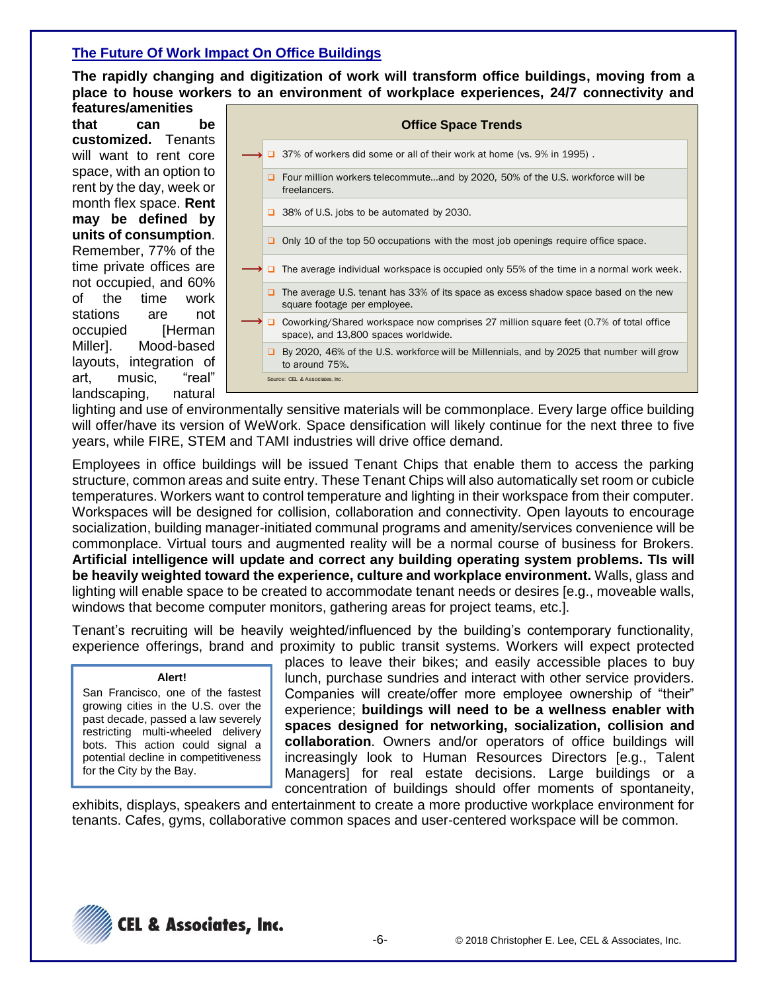## **The Future Of Work Impact On Office Buildings**

**The rapidly changing and digitization of work will transform office buildings, moving from a place to house workers to an environment of workplace experiences, 24/7 connectivity and** 

**features/amenities that can be customized.** Tenants will want to rent core space, with an option to rent by the day, week or month flex space. **Rent may be defined by units of consumption**. Remember, 77% of the time private offices are not occupied, and 60% of the time work stations are not occupied [Herman Miller]. Mood-based layouts, integration of art, music, "real" landscaping, natural

|  | <b>Office Space Trends</b>                                                                                                    |
|--|-------------------------------------------------------------------------------------------------------------------------------|
|  | 37% of workers did some or all of their work at home (vs. 9% in 1995).                                                        |
|  | □ Four million workers telecommuteand by 2020, 50% of the U.S. workforce will be<br>freelancers.                              |
|  | $\Box$ 38% of U.S. jobs to be automated by 2030.                                                                              |
|  | Only 10 of the top 50 occupations with the most job openings require office space.                                            |
|  | The average individual workspace is occupied only 55% of the time in a normal work week.                                      |
|  | The average U.S. tenant has 33% of its space as excess shadow space based on the new<br>square footage per employee.          |
|  | Coworking/Shared workspace now comprises 27 million square feet (0.7% of total office<br>space), and 13,800 spaces worldwide. |
|  | □ By 2020, 46% of the U.S. workforce will be Millennials, and by 2025 that number will grow<br>to around 75%.                 |
|  | Source: CEL & Associates, Inc.                                                                                                |

lighting and use of environmentally sensitive materials will be commonplace. Every large office building will offer/have its version of WeWork. Space densification will likely continue for the next three to five years, while FIRE, STEM and TAMI industries will drive office demand.

Employees in office buildings will be issued Tenant Chips that enable them to access the parking structure, common areas and suite entry. These Tenant Chips will also automatically set room or cubicle temperatures. Workers want to control temperature and lighting in their workspace from their computer. Workspaces will be designed for collision, collaboration and connectivity. Open layouts to encourage socialization, building manager-initiated communal programs and amenity/services convenience will be commonplace. Virtual tours and augmented reality will be a normal course of business for Brokers. **Artificial intelligence will update and correct any building operating system problems. TIs will be heavily weighted toward the experience, culture and workplace environment.** Walls, glass and lighting will enable space to be created to accommodate tenant needs or desires [e.g., moveable walls, windows that become computer monitors, gathering areas for project teams, etc.].

Tenant's recruiting will be heavily weighted/influenced by the building's contemporary functionality, experience offerings, brand and proximity to public transit systems. Workers will expect protected

#### **Alert!**

San Francisco, one of the fastest growing cities in the U.S. over the past decade, passed a law severely restricting multi-wheeled delivery bots. This action could signal a potential decline in competitiveness for the City by the Bay.

places to leave their bikes; and easily accessible places to buy lunch, purchase sundries and interact with other service providers. Companies will create/offer more employee ownership of "their" experience; **buildings will need to be a wellness enabler with spaces designed for networking, socialization, collision and collaboration**. Owners and/or operators of office buildings will increasingly look to Human Resources Directors [e.g., Talent Managers] for real estate decisions. Large buildings or a concentration of buildings should offer moments of spontaneity,

exhibits, displays, speakers and entertainment to create a more productive workplace environment for tenants. Cafes, gyms, collaborative common spaces and user-centered workspace will be common.

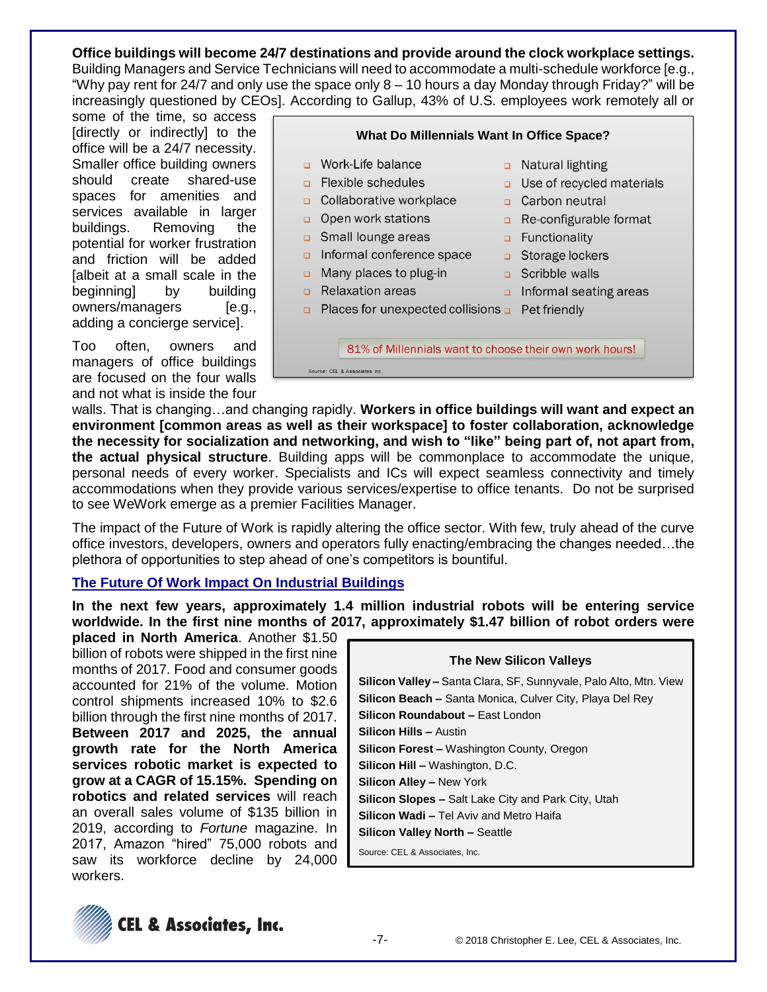## **Office buildings will become 24/7 destinations and provide around the clock workplace settings.**

Building Managers and Service Technicians will need to accommodate a multi-schedule workforce [e.g., "Why pay rent for 24/7 and only use the space only 8 – 10 hours a day Monday through Friday?" will be increasingly questioned by CEOs]. According to Gallup, 43% of U.S. employees work remotely all or

some of the time, so access [directly or indirectly] to the office will be a 24/7 necessity. Smaller office building owners should create shared-use spaces for amenities and services available in larger buildings. Removing the potential for worker frustration and friction will be added [albeit at a small scale in the beginning] by building owners/managers [e.g., adding a concierge service].

Too often, owners and managers of office buildings are focused on the four walls and not what is inside the four



walls. That is changing…and changing rapidly. **Workers in office buildings will want and expect an environment [common areas as well as their workspace] to foster collaboration, acknowledge the necessity for socialization and networking, and wish to "like" being part of, not apart from, the actual physical structure**. Building apps will be commonplace to accommodate the unique, personal needs of every worker. Specialists and ICs will expect seamless connectivity and timely accommodations when they provide various services/expertise to office tenants. Do not be surprised to see WeWork emerge as a premier Facilities Manager.

The impact of the Future of Work is rapidly altering the office sector. With few, truly ahead of the curve office investors, developers, owners and operators fully enacting/embracing the changes needed…the plethora of opportunities to step ahead of one's competitors is bountiful.

## **The Future Of Work Impact On Industrial Buildings**

**In the next few years, approximately 1.4 million industrial robots will be entering service worldwide. In the first nine months of 2017, approximately \$1.47 billion of robot orders were** 

**placed in North America**. Another \$1.50 billion of robots were shipped in the first nine months of 2017. Food and consumer goods accounted for 21% of the volume. Motion control shipments increased 10% to \$2.6 billion through the first nine months of 2017. **Between 2017 and 2025, the annual growth rate for the North America services robotic market is expected to grow at a CAGR of 15.15%. Spending on robotics and related services** will reach an overall sales volume of \$135 billion in 2019, according to *Fortune* magazine. In 2017, Amazon "hired" 75,000 robots and saw its workforce decline by 24,000 workers.

| <b>The New Silicon Valleys</b>                                           |  |  |  |  |
|--------------------------------------------------------------------------|--|--|--|--|
| <b>Silicon Valley –</b> Santa Clara, SF, Sunnyvale, Palo Alto, Mtn. View |  |  |  |  |
| <b>Silicon Beach –</b> Santa Monica, Culver City, Playa Del Rey          |  |  |  |  |
| Silicon Roundabout - East London                                         |  |  |  |  |
| <b>Silicon Hills - Austin</b>                                            |  |  |  |  |
| <b>Silicon Forest - Washington County, Oregon</b>                        |  |  |  |  |
| <b>Silicon Hill - Washington, D.C.</b>                                   |  |  |  |  |
| <b>Silicon Alley – New York</b>                                          |  |  |  |  |
| <b>Silicon Slopes –</b> Salt Lake City and Park City, Utah               |  |  |  |  |
| <b>Silicon Wadi – Tel Aviv and Metro Haifa</b>                           |  |  |  |  |
| <b>Silicon Valley North - Seattle</b>                                    |  |  |  |  |
| Source: CEL & Associates, Inc.                                           |  |  |  |  |

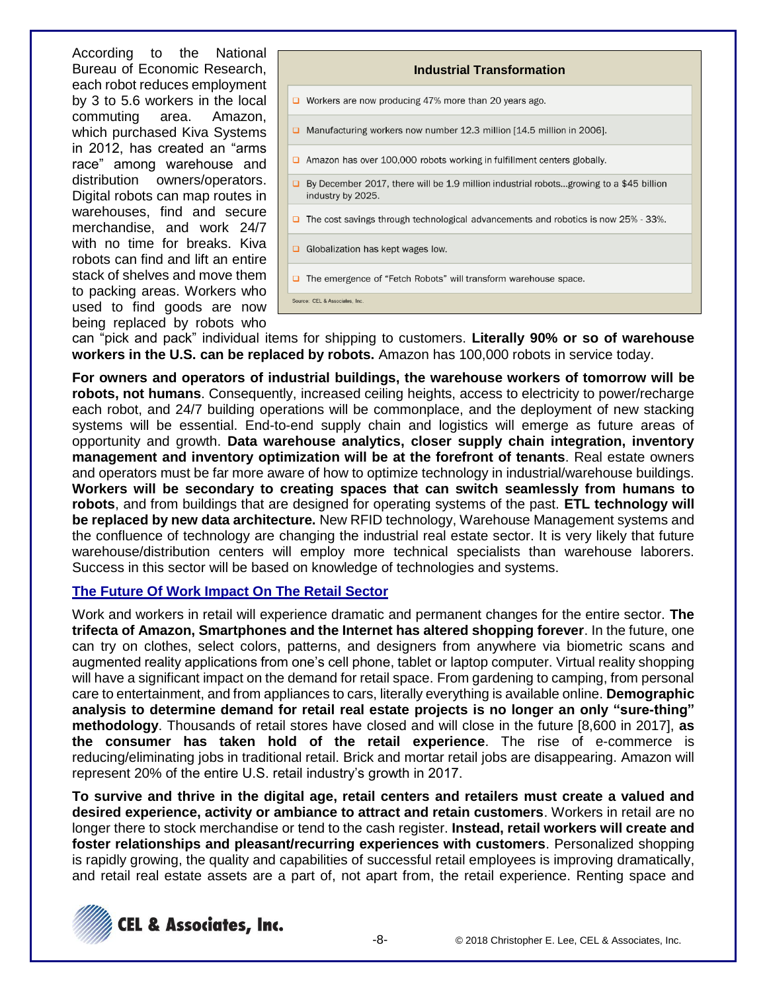According to the National Bureau of Economic Research, each robot reduces employment by 3 to 5.6 workers in the local commuting area. Amazon, which purchased Kiva Systems in 2012, has created an "arms race" among warehouse and distribution owners/operators. Digital robots can map routes in warehouses, find and secure merchandise, and work 24/7 with no time for breaks. Kiva robots can find and lift an entire stack of shelves and move them to packing areas. Workers who used to find goods are now being replaced by robots who

| <b>Industrial Transformation</b>                                                                                   |  |  |  |  |
|--------------------------------------------------------------------------------------------------------------------|--|--|--|--|
| $\Box$ Workers are now producing 47% more than 20 years ago.                                                       |  |  |  |  |
| Manufacturing workers now number 12.3 million [14.5 million in 2006].<br>▫                                         |  |  |  |  |
| Amazon has over 100,000 robots working in fulfillment centers globally.                                            |  |  |  |  |
| $\Box$ By December 2017, there will be 1.9 million industrial robotsgrowing to a \$45 billion<br>industry by 2025. |  |  |  |  |
| The cost savings through technological advancements and robotics is now 25% - 33%.<br>□                            |  |  |  |  |
| Globalization has kept wages low.                                                                                  |  |  |  |  |
| The emergence of "Fetch Robots" will transform warehouse space.<br>□                                               |  |  |  |  |
| Source: CEL & Associates. Inc.                                                                                     |  |  |  |  |

can "pick and pack" individual items for shipping to customers. **Literally 90% or so of warehouse workers in the U.S. can be replaced by robots.** Amazon has 100,000 robots in service today.

**For owners and operators of industrial buildings, the warehouse workers of tomorrow will be robots, not humans**. Consequently, increased ceiling heights, access to electricity to power/recharge each robot, and 24/7 building operations will be commonplace, and the deployment of new stacking systems will be essential. End-to-end supply chain and logistics will emerge as future areas of opportunity and growth. **Data warehouse analytics, closer supply chain integration, inventory management and inventory optimization will be at the forefront of tenants**. Real estate owners and operators must be far more aware of how to optimize technology in industrial/warehouse buildings. **Workers will be secondary to creating spaces that can switch seamlessly from humans to robots**, and from buildings that are designed for operating systems of the past. **ETL technology will be replaced by new data architecture.** New RFID technology, Warehouse Management systems and the confluence of technology are changing the industrial real estate sector. It is very likely that future warehouse/distribution centers will employ more technical specialists than warehouse laborers. Success in this sector will be based on knowledge of technologies and systems.

### **The Future Of Work Impact On The Retail Sector**

Work and workers in retail will experience dramatic and permanent changes for the entire sector. **The trifecta of Amazon, Smartphones and the Internet has altered shopping forever**. In the future, one can try on clothes, select colors, patterns, and designers from anywhere via biometric scans and augmented reality applications from one's cell phone, tablet or laptop computer. Virtual reality shopping will have a significant impact on the demand for retail space. From gardening to camping, from personal care to entertainment, and from appliances to cars, literally everything is available online. **Demographic analysis to determine demand for retail real estate projects is no longer an only "sure-thing" methodology**. Thousands of retail stores have closed and will close in the future [8,600 in 2017], **as the consumer has taken hold of the retail experience**. The rise of e-commerce is reducing/eliminating jobs in traditional retail. Brick and mortar retail jobs are disappearing. Amazon will represent 20% of the entire U.S. retail industry's growth in 2017.

**To survive and thrive in the digital age, retail centers and retailers must create a valued and desired experience, activity or ambiance to attract and retain customers**. Workers in retail are no longer there to stock merchandise or tend to the cash register. **Instead, retail workers will create and foster relationships and pleasant/recurring experiences with customers**. Personalized shopping is rapidly growing, the quality and capabilities of successful retail employees is improving dramatically, and retail real estate assets are a part of, not apart from, the retail experience. Renting space and

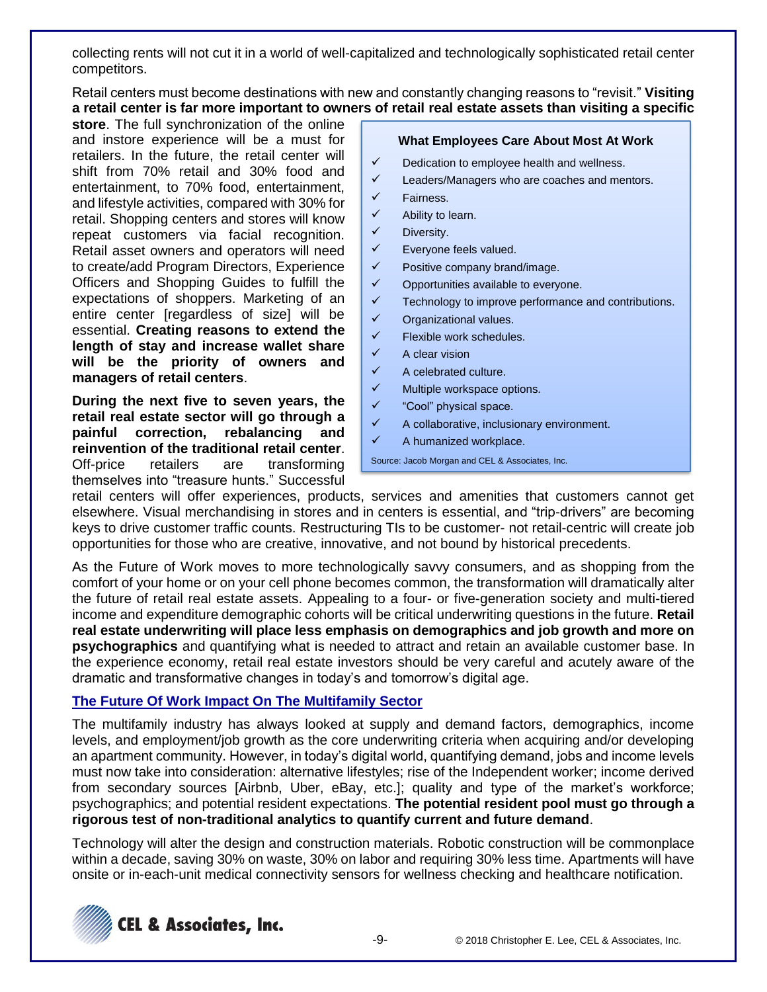collecting rents will not cut it in a world of well-capitalized and technologically sophisticated retail center competitors.

Retail centers must become destinations with new and constantly changing reasons to "revisit." **Visiting a retail center is far more important to owners of retail real estate assets than visiting a specific** 

**store**. The full synchronization of the online and instore experience will be a must for retailers. In the future, the retail center will shift from 70% retail and 30% food and entertainment, to 70% food, entertainment, and lifestyle activities, compared with 30% for retail. Shopping centers and stores will know repeat customers via facial recognition. Retail asset owners and operators will need to create/add Program Directors, Experience Officers and Shopping Guides to fulfill the expectations of shoppers. Marketing of an entire center [regardless of size] will be essential. **Creating reasons to extend the length of stay and increase wallet share will be the priority of owners and managers of retail centers**.

**During the next five to seven years, the retail real estate sector will go through a painful correction, rebalancing and reinvention of the traditional retail center**. Off-price retailers are transforming themselves into "treasure hunts." Successful

#### **What Employees Care About Most At Work**

- $\checkmark$  Dedication to employee health and wellness.
- ✓ Leaders/Managers who are coaches and mentors.
- ✓ Fairness.
- ✓ Ability to learn.
- ✓ Diversity.
- ✓ Everyone feels valued.
- $\checkmark$  Positive company brand/image.
- ✓ Opportunities available to everyone.
- ✓ Technology to improve performance and contributions.
- ✓ Organizational values.
- $\checkmark$  Flexible work schedules.
- ✓ A clear vision
- $\checkmark$  A celebrated culture.
- $\checkmark$  Multiple workspace options.
- ✓ "Cool" physical space.
- $\checkmark$  A collaborative, inclusionary environment.
- ✓ A humanized workplace.

Source: Jacob Morgan and CEL & Associates, Inc.

retail centers will offer experiences, products, services and amenities that customers cannot get elsewhere. Visual merchandising in stores and in centers is essential, and "trip-drivers" are becoming keys to drive customer traffic counts. Restructuring TIs to be customer- not retail-centric will create job opportunities for those who are creative, innovative, and not bound by historical precedents.

As the Future of Work moves to more technologically savvy consumers, and as shopping from the comfort of your home or on your cell phone becomes common, the transformation will dramatically alter the future of retail real estate assets. Appealing to a four- or five-generation society and multi-tiered income and expenditure demographic cohorts will be critical underwriting questions in the future. **Retail real estate underwriting will place less emphasis on demographics and job growth and more on psychographics** and quantifying what is needed to attract and retain an available customer base. In the experience economy, retail real estate investors should be very careful and acutely aware of the dramatic and transformative changes in today's and tomorrow's digital age.

## **The Future Of Work Impact On The Multifamily Sector**

The multifamily industry has always looked at supply and demand factors, demographics, income levels, and employment/job growth as the core underwriting criteria when acquiring and/or developing an apartment community. However, in today's digital world, quantifying demand, jobs and income levels must now take into consideration: alternative lifestyles; rise of the Independent worker; income derived from secondary sources [Airbnb, Uber, eBay, etc.]; quality and type of the market's workforce; psychographics; and potential resident expectations. **The potential resident pool must go through a rigorous test of non-traditional analytics to quantify current and future demand**.

Technology will alter the design and construction materials. Robotic construction will be commonplace within a decade, saving 30% on waste, 30% on labor and requiring 30% less time. Apartments will have onsite or in-each-unit medical connectivity sensors for wellness checking and healthcare notification.

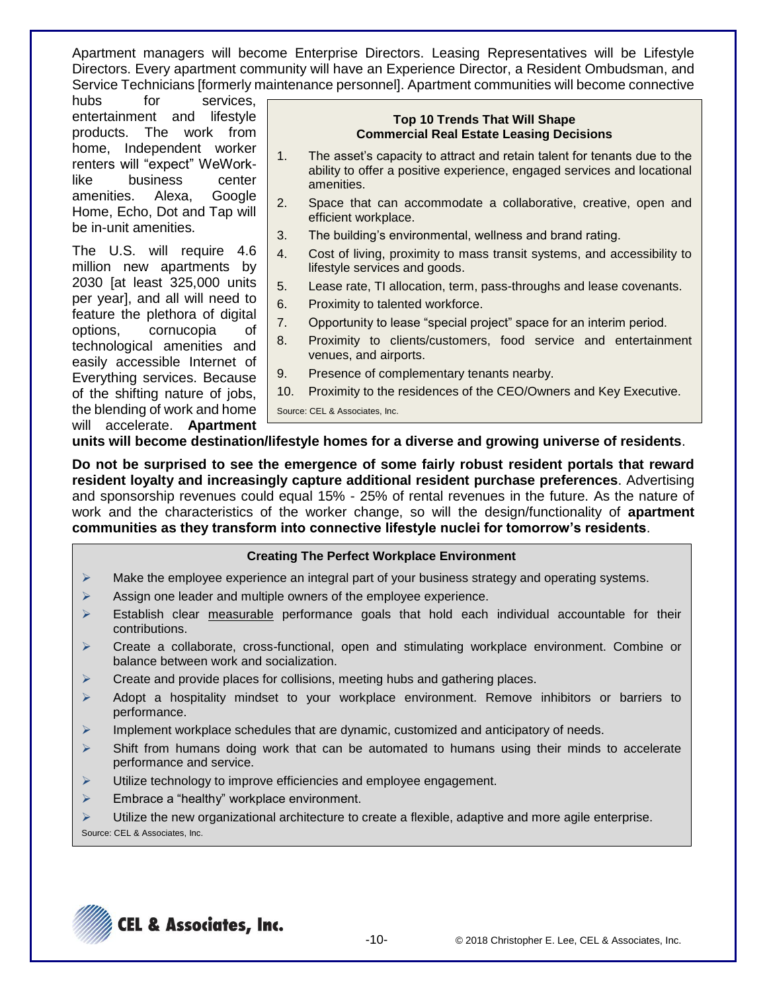Apartment managers will become Enterprise Directors. Leasing Representatives will be Lifestyle Directors. Every apartment community will have an Experience Director, a Resident Ombudsman, and Service Technicians [formerly maintenance personnel]. Apartment communities will become connective

hubs for services, entertainment and lifestyle products. The work from home, Independent worker renters will "expect" WeWorklike business center amenities. Alexa, Google Home, Echo, Dot and Tap will be in-unit amenities.

The U.S. will require 4.6 million new apartments by 2030 [at least 325,000 units per year], and all will need to feature the plethora of digital options, cornucopia of technological amenities and easily accessible Internet of Everything services. Because of the shifting nature of jobs, the blending of work and home will accelerate. **Apartment** 

#### **Top 10 Trends That Will Shape Commercial Real Estate Leasing Decisions**

- 1. The asset's capacity to attract and retain talent for tenants due to the ability to offer a positive experience, engaged services and locational amenities.
- 2. Space that can accommodate a collaborative, creative, open and efficient workplace.
- 3. The building's environmental, wellness and brand rating.
- 4. Cost of living, proximity to mass transit systems, and accessibility to lifestyle services and goods.
- 5. Lease rate, TI allocation, term, pass-throughs and lease covenants.
- 6. Proximity to talented workforce.
- 7. Opportunity to lease "special project" space for an interim period.
- 8. Proximity to clients/customers, food service and entertainment venues, and airports.
- 9. Presence of complementary tenants nearby.
- 10. Proximity to the residences of the CEO/Owners and Key Executive.

Source: CEL & Associates, Inc.

**units will become destination/lifestyle homes for a diverse and growing universe of residents**.

**Do not be surprised to see the emergence of some fairly robust resident portals that reward resident loyalty and increasingly capture additional resident purchase preferences**. Advertising and sponsorship revenues could equal 15% - 25% of rental revenues in the future. As the nature of work and the characteristics of the worker change, so will the design/functionality of **apartment communities as they transform into connective lifestyle nuclei for tomorrow's residents**.

### **Creating The Perfect Workplace Environment**

- $\triangleright$  Make the employee experience an integral part of your business strategy and operating systems.
- ➢ Assign one leader and multiple owners of the employee experience.
- $\triangleright$  Establish clear measurable performance goals that hold each individual accountable for their contributions.
- ➢ Create a collaborate, cross-functional, open and stimulating workplace environment. Combine or balance between work and socialization.
- ➢ Create and provide places for collisions, meeting hubs and gathering places.
- ➢ Adopt a hospitality mindset to your workplace environment. Remove inhibitors or barriers to performance.
- $\triangleright$  Implement workplace schedules that are dynamic, customized and anticipatory of needs.
- $\triangleright$  Shift from humans doing work that can be automated to humans using their minds to accelerate performance and service.
- ➢ Utilize technology to improve efficiencies and employee engagement.
- ➢ Embrace a "healthy" workplace environment.
- ➢ Utilize the new organizational architecture to create a flexible, adaptive and more agile enterprise. Source: CEL & Associates, Inc.

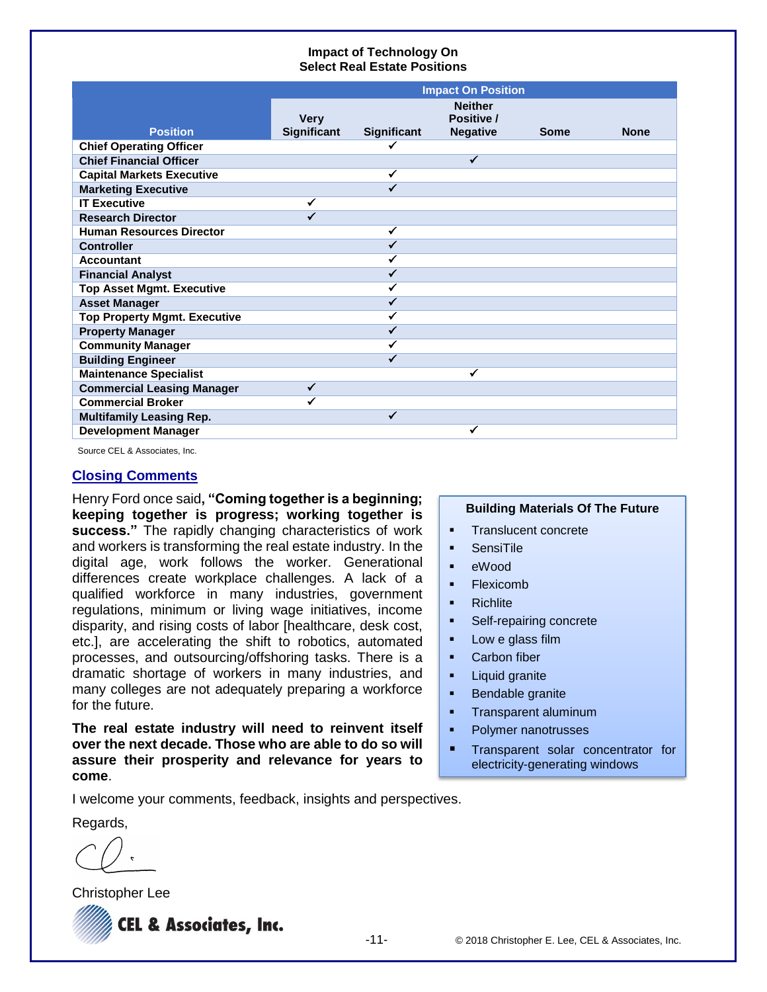### **Impact of Technology On Select Real Estate Positions**

|                                     | <b>Impact On Position</b> |             |                              |             |             |
|-------------------------------------|---------------------------|-------------|------------------------------|-------------|-------------|
|                                     | <b>Very</b>               |             | <b>Neither</b><br>Positive / |             |             |
| <b>Position</b>                     | <b>Significant</b>        | Significant | <b>Negative</b>              | <b>Some</b> | <b>None</b> |
| <b>Chief Operating Officer</b>      |                           | ✔           |                              |             |             |
| <b>Chief Financial Officer</b>      |                           |             | ✔                            |             |             |
| <b>Capital Markets Executive</b>    |                           | ✔           |                              |             |             |
| <b>Marketing Executive</b>          |                           | ✔           |                              |             |             |
| <b>IT Executive</b>                 |                           |             |                              |             |             |
| <b>Research Director</b>            |                           |             |                              |             |             |
| <b>Human Resources Director</b>     |                           | ✔           |                              |             |             |
| <b>Controller</b>                   |                           |             |                              |             |             |
| <b>Accountant</b>                   |                           |             |                              |             |             |
| <b>Financial Analyst</b>            |                           |             |                              |             |             |
| <b>Top Asset Mgmt. Executive</b>    |                           |             |                              |             |             |
| <b>Asset Manager</b>                |                           |             |                              |             |             |
| <b>Top Property Mgmt. Executive</b> |                           |             |                              |             |             |
| <b>Property Manager</b>             |                           |             |                              |             |             |
| <b>Community Manager</b>            |                           |             |                              |             |             |
| <b>Building Engineer</b>            |                           |             |                              |             |             |
| <b>Maintenance Specialist</b>       |                           |             |                              |             |             |
| <b>Commercial Leasing Manager</b>   | ✓                         |             |                              |             |             |
| <b>Commercial Broker</b>            |                           |             |                              |             |             |
| <b>Multifamily Leasing Rep.</b>     |                           | ✓           |                              |             |             |
| <b>Development Manager</b>          |                           |             |                              |             |             |

Source CEL & Associates, Inc.

#### **Closing Comments**

Henry Ford once said**, "Coming together is a beginning; keeping together is progress; working together is success."** The rapidly changing characteristics of work and workers is transforming the real estate industry. In the digital age, work follows the worker. Generational differences create workplace challenges. A lack of a qualified workforce in many industries, government regulations, minimum or living wage initiatives, income disparity, and rising costs of labor [healthcare, desk cost, etc.], are accelerating the shift to robotics, automated processes, and outsourcing/offshoring tasks. There is a dramatic shortage of workers in many industries, and many colleges are not adequately preparing a workforce for the future.

**The real estate industry will need to reinvent itself over the next decade. Those who are able to do so will assure their prosperity and relevance for years to come**.

### **Building Materials Of The Future**

- **•** Translucent concrete
- SensiTile
- eWood
- Flexicomb
- **Richlite**
- Self-repairing concrete
- Low e glass film
- Carbon fiber
- Liquid granite
- Bendable granite
- **•** Transparent aluminum
- Polymer nanotrusses
- **■** Transparent solar concentrator for electricity-generating windows

I welcome your comments, feedback, insights and perspectives.

Regards,

Christopher Lee

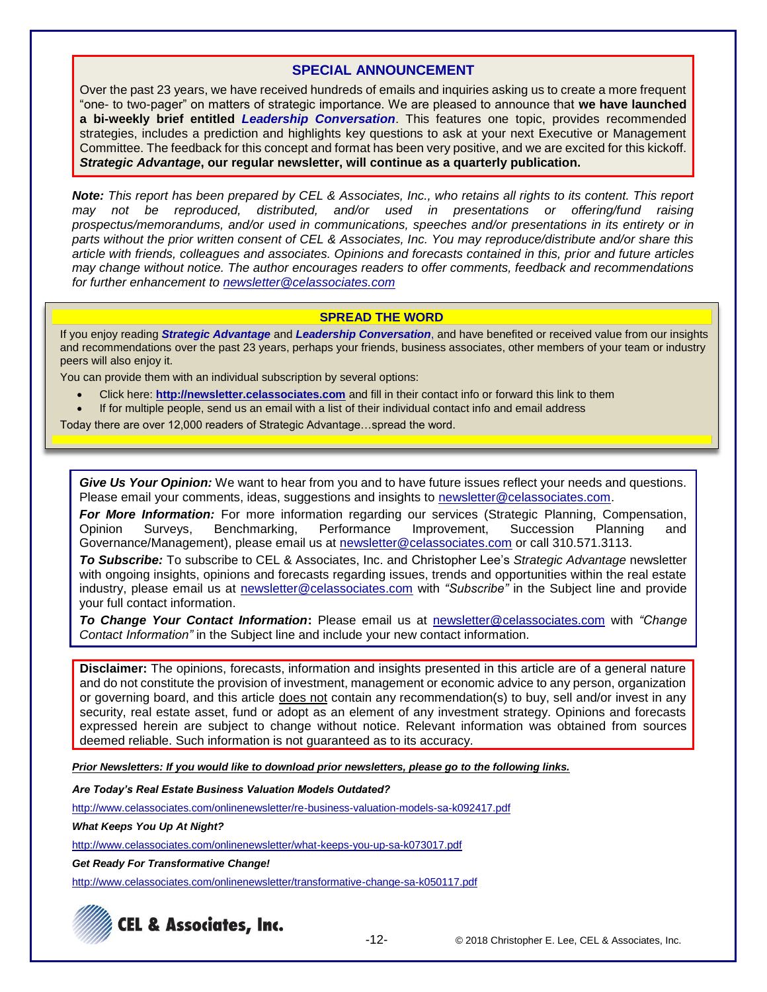### **SPECIAL ANNOUNCEMENT**

Over the past 23 years, we have received hundreds of emails and inquiries asking us to create a more frequent "one- to two-pager" on matters of strategic importance. We are pleased to announce that **we have launched a bi-weekly brief entitled** *Leadership Conversation*. This features one topic, provides recommended strategies, includes a prediction and highlights key questions to ask at your next Executive or Management Committee. The feedback for this concept and format has been very positive, and we are excited for this kickoff. *Strategic Advantage***, our regular newsletter, will continue as a quarterly publication.**

*Note: This report has been prepared by CEL & Associates, Inc., who retains all rights to its content. This report may not be reproduced, distributed, and/or used in presentations or offering/fund raising prospectus/memorandums, and/or used in communications, speeches and/or presentations in its entirety or in parts without the prior written consent of CEL & Associates, Inc. You may reproduce/distribute and/or share this article with friends, colleagues and associates. Opinions and forecasts contained in this, prior and future articles may change without notice. The author encourages readers to offer comments, feedback and recommendations for further enhancement to [newsletter@celassociates.com](mailto:newsletter@celassociates.com)*

### **SPREAD THE WORD**

If you enjoy reading *Strategic Advantage* and *Leadership Conversation*, and have benefited or received value from our insights and recommendations over the past 23 years, perhaps your friends, business associates, other members of your team or industry peers will also enjoy it.

You can provide them with an individual subscription by several options:

- Click here: **http://newsletter.celassociates.com** and fill in their contact info or forward this link to them
- If for multiple people, send us an email with a list of their individual contact info and email address

Today there are over 12,000 readers of Strategic Advantage…spread the word.

*Give Us Your Opinion:* We want to hear from you and to have future issues reflect your needs and questions. Please email your comments, ideas, suggestions and insights to newsletter@celassociates.com.

*For More Information:* For more information regarding our services (Strategic Planning, Compensation, Opinion Surveys, Benchmarking, Performance Improvement, Succession Planning and Governance/Management), please email us at newsletter@celassociates.com or call 310.571.3113.

*To Subscribe:* To subscribe to CEL & Associates, Inc. and Christopher Lee's *Strategic Advantage* newsletter with ongoing insights, opinions and forecasts regarding issues, trends and opportunities within the real estate industry, please email us at newsletter@celassociates.com with *"Subscribe"* in the Subject line and provide your full contact information.

*To Change Your Contact Information***:** Please email us at newsletter@celassociates.com with *"Change Contact Information"* in the Subject line and include your new contact information.

**Disclaimer:** The opinions, forecasts, information and insights presented in this article are of a general nature and do not constitute the provision of investment, management or economic advice to any person, organization or governing board, and this article does not contain any recommendation(s) to buy, sell and/or invest in any security, real estate asset, fund or adopt as an element of any investment strategy. Opinions and forecasts expressed herein are subject to change without notice. Relevant information was obtained from sources deemed reliable. Such information is not guaranteed as to its accuracy.

*Prior Newsletters: If you would like to download prior newsletters, please go to the following links.*

*Are Today's Real Estate Business Valuation Models Outdated?*

<http://www.celassociates.com/onlinenewsletter/re-business-valuation-models-sa-k092417.pdf>

*What Keeps You Up At Night?*

<http://www.celassociates.com/onlinenewsletter/what-keeps-you-up-sa-k073017.pdf>

*Get Ready For Transformative Change!*

<http://www.celassociates.com/onlinenewsletter/transformative-change-sa-k050117.pdf>